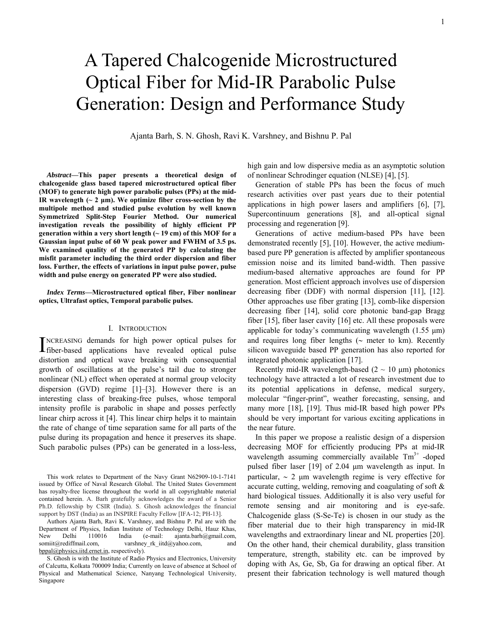# A Tapered Chalcogenide Microstructured Optical Fiber for Mid-IR Parabolic Pulse Generation: Design and Performance Study

Ajanta Barh, S. N. Ghosh, Ravi K. Varshney, and Bishnu P. Pal

*Abstract***—This paper presents a theoretical design of chalcogenide glass based tapered microstructured optical fiber (MOF) to generate high power parabolic pulses (PPs) at the mid-IR** wavelength  $(-2 \mu m)$ . We optimize fiber cross-section by the **multipole method and studied pulse evolution by well known Symmetrized Split-Step Fourier Method. Our numerical investigation reveals the possibility of highly efficient PP generation within a very short length (~ 19 cm) of this MOF for a Gaussian input pulse of 60 W peak power and FWHM of 3.5 ps. We examined quality of the generated PP by calculating the misfit parameter including the third order dispersion and fiber loss. Further, the effects of variations in input pulse power, pulse width and pulse energy on generated PP were also studied.** 

#### *Index Terms***—Microstructured optical fiber, Fiber nonlinear optics, Ultrafast optics, Temporal parabolic pulses.**

## I. INTRODUCTION

NCREASING demands for high power optical pulses for INCREASING demands for high power optical pulses for fiber-based applications have revealed optical pulse distortion and optical wave breaking with consequential growth of oscillations at the pulse's tail due to stronger nonlinear (NL) effect when operated at normal group velocity dispersion (GVD) regime [1]–[3]. However there is an interesting class of breaking-free pulses, whose temporal intensity profile is parabolic in shape and posses perfectly linear chirp across it [4]. This linear chirp helps it to maintain the rate of change of time separation same for all parts of the pulse during its propagation and hence it preserves its shape. Such parabolic pulses (PPs) can be generated in a loss-less,

This work relates to Department of the Navy Grant N62909-10-1-7141 issued by Office of Naval Research Global. The United States Government has royalty-free license throughout the world in all copyrightable material contained herein. A. Barh gratefully acknowledges the award of a Senior Ph.D. fellowship by CSIR (India). S. Ghosh acknowledges the financial support by DST (India) as an INSPIRE Faculty Fellow [IFA-12; PH-13].

Authors Ajanta Barh, Ravi K. Varshney, and Bishnu P. Pal are with the Department of Physics, Indian Institute of Technology Delhi, Hauz Khas, New Delhi 110016 India (e-mail: ajanta.barh@gmail.com, somiit@rediffmail.com, varshney\_rk\_iitd@yahoo.com, and bppal@physics.iitd.ernet.in, respectively).

S. Ghosh is with the Institute of Radio Physics and Electronics, University of Calcutta, Kolkata 700009 India; Currently on leave of absence at School of Physical and Mathematical Science, Nanyang Technological University, Singapore

high gain and low dispersive media as an asymptotic solution of nonlinear Schrodinger equation (NLSE) [4], [5].

Generation of stable PPs has been the focus of much research activities over past years due to their potential applications in high power lasers and amplifiers [6], [7], Supercontinuum generations [8], and all-optical signal processing and regeneration [9].

Generations of active medium-based PPs have been demonstrated recently [5], [10]. However, the active mediumbased pure PP generation is affected by amplifier spontaneous emission noise and its limited band-width. Then passive medium-based alternative approaches are found for PP generation. Most efficient approach involves use of dispersion decreasing fiber (DDF) with normal dispersion [11], [12]. Other approaches use fiber grating [13], comb-like dispersion decreasing fiber [14], solid core photonic band-gap Bragg fiber [15], fiber laser cavity [16] etc. All these proposals were applicable for today's communicating wavelength (1.55 μm) and requires long fiber lengths (∼ meter to km). Recently silicon waveguide based PP generation has also reported for integrated photonic application [17].

Recently mid-IR wavelength-based  $(2 \sim 10 \mu m)$  photonics technology have attracted a lot of research investment due to its potential applications in defense, medical surgery, molecular "finger-print", weather forecasting, sensing, and many more [18], [19]. Thus mid-IR based high power PPs should be very important for various exciting applications in the near future.

In this paper we propose a realistic design of a dispersion decreasing MOF for efficiently producing PPs at mid-IR wavelength assuming commercially available  $Tm<sup>3+</sup>$  -doped pulsed fiber laser [19] of 2.04 μm wavelength as input. In particular, ∼ 2 μm wavelength regime is very effective for accurate cutting, welding, removing and coagulating of soft & hard biological tissues. Additionally it is also very useful for remote sensing and air monitoring and is eye-safe. Chalcogenide glass (S-Se-Te) is chosen in our study as the fiber material due to their high transparency in mid-IR wavelengths and extraordinary linear and NL properties [20]. On the other hand, their chemical durability, glass transition temperature, strength, stability etc. can be improved by doping with As, Ge, Sb, Ga for drawing an optical fiber. At present their fabrication technology is well matured though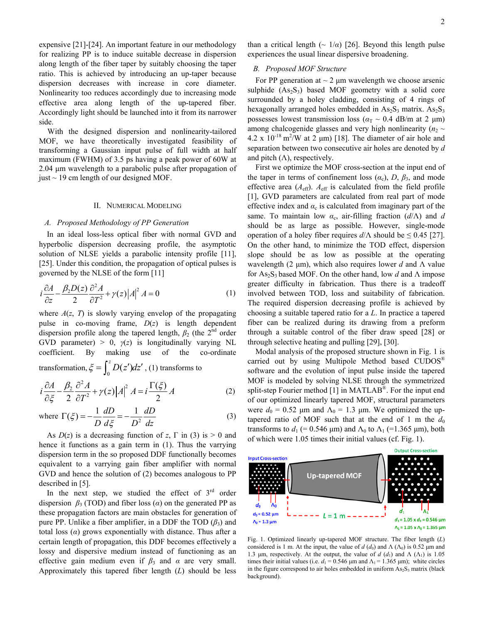expensive [21]-[24]. An important feature in our methodology for realizing PP is to induce suitable decrease in dispersion along length of the fiber taper by suitably choosing the taper ratio. This is achieved by introducing an up-taper because dispersion decreases with increase in core diameter. Nonlinearity too reduces accordingly due to increasing mode effective area along length of the up-tapered fiber. Accordingly light should be launched into it from its narrower side.

With the designed dispersion and nonlinearity-tailored MOF, we have theoretically investigated feasibility of transforming a Gaussian input pulse of full width at half maximum (FWHM) of 3.5 ps having a peak power of 60W at 2.04 μm wavelength to a parabolic pulse after propagation of just  $\sim$  19 cm length of our designed MOF.

#### II. NUMERICAL MODELING

## *A. Proposed Methodology of PP Generation*

In an ideal loss-less optical fiber with normal GVD and hyperbolic dispersion decreasing profile, the asymptotic solution of NLSE yields a parabolic intensity profile [11], [25]. Under this condition, the propagation of optical pulses is governed by the NLSE of the form [11]

$$
i\frac{\partial A}{\partial z} - \frac{\beta_2 D(z)}{2} \frac{\partial^2 A}{\partial T^2} + \gamma(z) |A|^2 A = 0
$$
 (1)

where  $A(z, T)$  is slowly varying envelop of the propagating pulse in co-moving frame, *D*(*z*) is length dependent dispersion profile along the tapered length,  $\beta_2$  (the 2<sup>nd</sup> order GVD parameter) > 0,  $\gamma(z)$  is longitudinally varying NL coefficient. By making use of the co-ordinate

transformation,  $\zeta = \int_0^z D(z')dz'$ , (1) transforms to

$$
i\frac{\partial A}{\partial \xi} - \frac{\beta_2}{2} \frac{\partial^2 A}{\partial T^2} + \gamma(z) |A|^2 A = i \frac{\Gamma(\xi)}{2} A
$$
 (2)

where 
$$
\Gamma(\xi) = -\frac{1}{D} \frac{dD}{d\xi} = -\frac{1}{D^2} \frac{dD}{dz}
$$
 (3)

As  $D(z)$  is a decreasing function of *z*,  $\Gamma$  in (3) is  $> 0$  and hence it functions as a gain term in (1). Thus the varrying dispersion term in the so proposed DDF functionally becomes equivalent to a varrying gain fiber amplifier with normal GVD and hence the solution of (2) becomes analogous to PP described in [5].

In the next step, we studied the effect of  $3<sup>rd</sup>$  order dispersion  $\beta_3$  (TOD) and fiber loss ( $\alpha$ ) on the generated PP as these propagation factors are main obstacles for generation of pure PP. Unlike a fiber amplifier, in a DDF the TOD  $(\beta_3)$  and total loss (*α*) grows exponentially with distance. Thus after a certain length of propagation, this DDF becomes effectively a lossy and dispersive medium instead of functioning as an effective gain medium even if  $\beta_3$  and  $\alpha$  are very small. Approximately this tapered fiber length (*L*) should be less

than a critical length  $({\sim 1/a})$  [26]. Beyond this length pulse experiences the usual linear dispersive broadening.

## *B. Proposed MOF Structure*

For PP generation at  $\sim$  2  $\mu$ m wavelength we choose arsenic sulphide  $(As<sub>2</sub>S<sub>3</sub>)$  based MOF geometry with a solid core surrounded by a holey cladding, consisting of 4 rings of hexagonally arranged holes embedded in  $As_2S_3$  matrix.  $As_2S_3$ possesses lowest transmission loss ( $\alpha_T \sim 0.4$  dB/m at 2  $\mu$ m) among chalcogenide glasses and very high nonlinearity ( $n_2 \sim$  $4.2 \times 10^{-18}$  m<sup>2</sup>/W at 2 µm) [18]. The diameter of air hole and separation between two consecutive air holes are denoted by *d* and pitch  $(Λ)$ , respectively.

First we optimize the MOF cross-section at the input end of the taper in terms of confinement loss  $(\alpha_c)$ ,  $D$ ,  $\beta_3$ , and mode effective area  $(A_{\text{eff}})$ .  $A_{\text{eff}}$  is calculated from the field profile [1], GVD parameters are calculated from real part of mode effective index and  $\alpha_c$  is calculated from imaginary part of the same. To maintain low  $\alpha_c$ , air-filling fraction ( $d/\Lambda$ ) and  $d$ should be as large as possible. However, single-mode operation of a holey fiber requires  $d/\Lambda$  should be  $\leq 0.45$  [27]. On the other hand, to minimize the TOD effect, dispersion slope should be as low as possible at the operating wavelength (2 μm), which also requires lower *d* and Λ value for As<sub>2</sub>S<sub>3</sub> based MOF. On the other hand, low *d* and Λ impose greater difficulty in fabrication. Thus there is a tradeoff involved between TOD, loss and suitability of fabrication. The required dispersion decreasing profile is achieved by choosing a suitable tapered ratio for a *L*. In practice a tapered fiber can be realized during its drawing from a preform through a suitable control of the fiber draw speed [28] or through selective heating and pulling [29], [30].

Modal analysis of the proposed structure shown in Fig. 1 is carried out by using Multipole Method based CUDOS<sup>®</sup> software and the evolution of input pulse inside the tapered MOF is modeled by solving NLSE through the symmetrized split-step Fourier method [1] in MATLAB<sup>®</sup>. For the input end of our optimized linearly tapered MOF, structural parameters were  $d_0 = 0.52$  μm and  $\Lambda_0 = 1.3$  μm. We optimized the uptapered ratio of MOF such that at the end of 1 m the  $d_0$ transforms to  $d_1$  (= 0.546 μm) and  $\Lambda_0$  to  $\Lambda_1$  (=1.365 μm), both of which were 1.05 times their initial values (cf. Fig. 1).



Fig. 1. Optimized linearly up-tapered MOF structure. The fiber length (*L*) considered is 1 m. At the input, the value of  $d$  ( $d_0$ ) and  $\Lambda$  ( $\Lambda_0$ ) is 0.52 μm and 1.3 μm, respectively. At the output, the value of *d* (*d*<sub>1</sub>) and Λ (Λ<sub>1</sub>) is 1.05 times their initial values (i.e.  $d_1 = 0.546$  μm and  $\Lambda_1 = 1.365$  μm); white circles in the figure correspond to air holes embedded in uniform  $As_2S_3$  matrix (black background).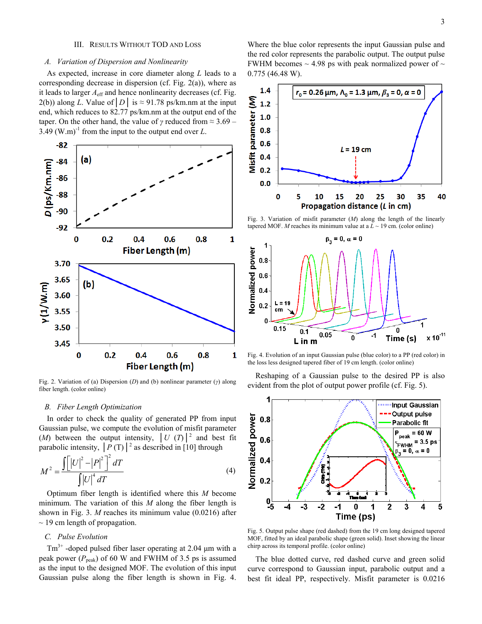#### III. RESULTS WITHOUT TOD AND LOSS

## *A. Variation of Dispersion and Nonlinearity*

As expected, increase in core diameter along *L* leads to a corresponding decrease in dispersion (cf. Fig. 2(a)), where as it leads to larger  $A<sub>eff</sub>$  and hence nonlinearity decreases (cf. Fig. 2(b)) along *L*. Value of  $|D|$  is  $\approx$  91.78 ps/km.nm at the input end, which reduces to 82.77 ps/km.nm at the output end of the taper. On the other hand, the value of *γ* reduced from ≈ 3.69 – 3.49 (W.m)<sup>-1</sup> from the input to the output end over  $L$ .



Fig. 2. Variation of (a) Dispersion (*D*) and (b) nonlinear parameter (*γ*) along fiber length. (color online)

## *B. Fiber Length Optimization*

In order to check the quality of generated PP from input Gaussian pulse, we compute the evolution of misfit parameter (*M*) between the output intensity,  $|U(T)|^2$  and best fit parabolic intensity,  $\left| P(T) \right|^2$  as described in [10] through

$$
M^{2} = \frac{\int [ |U|^{2} - |P|^{2}]}{\int |U|^{4} dT}
$$
 (4)

Optimum fiber length is identified where this *M* become minimum. The variation of this *M* along the fiber length is shown in Fig. 3. *M* reaches its minimum value (0.0216) after  $\sim$  19 cm length of propagation.

# *C. Pulse Evolution*

Tm3+ -doped pulsed fiber laser operating at 2.04 μm with a peak power ( $P_{\text{peak}}$ ) of 60 W and FWHM of 3.5 ps is assumed as the input to the designed MOF. The evolution of this input Gaussian pulse along the fiber length is shown in Fig. 4. Where the blue color represents the input Gaussian pulse and the red color represents the parabolic output. The output pulse FWHM becomes  $\sim$  4.98 ps with peak normalized power of  $\sim$ 0.775 (46.48 W).



Fig. 3. Variation of misfit parameter (*M*) along the length of the linearly tapered MOF. *M* reaches its minimum value at a  $L \sim 19$  cm. (color online)



Fig. 4. Evolution of an input Gaussian pulse (blue color) to a PP (red color) in the loss less designed tapered fiber of 19 cm length. (color online)

Reshaping of a Gaussian pulse to the desired PP is also evident from the plot of output power profile (cf. Fig. 5).



Fig. 5. Output pulse shape (red dashed) from the 19 cm long designed tapered MOF, fitted by an ideal parabolic shape (green solid). Inset showing the linear chirp across its temporal profile. (color online)

The blue dotted curve, red dashed curve and green solid curve correspond to Gaussian input, parabolic output and a best fit ideal PP, respectively. Misfit parameter is 0.0216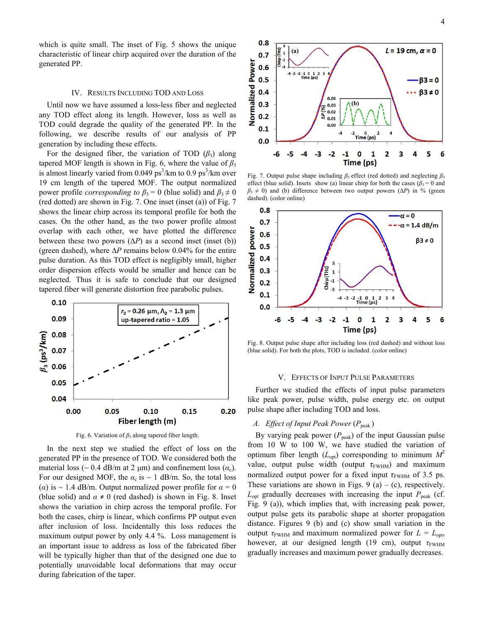which is quite small. The inset of Fig. 5 shows the unique characteristic of linear chirp acquired over the duration of the generated PP.

## IV. RESULTS INCLUDING TOD AND LOSS

Until now we have assumed a loss-less fiber and neglected any TOD effect along its length. However, loss as well as TOD could degrade the quality of the generated PP. In the following, we describe results of our analysis of PP generation by including these effects.

For the designed fiber, the variation of TOD  $(\beta_3)$  along tapered MOF length is shown in Fig. 6, where the value of  $\beta_3$ is almost linearly varied from 0.049  $ps^3/km$  to 0.9  $ps^3/km$  over 19 cm length of the tapered MOF. The output normalized power profile *corresponding to*  $\beta_3 = 0$  (blue solid) and  $\beta_3 \neq 0$ (red dotted) are shown in Fig. 7. One inset (inset (a)) of Fig. 7 shows the linear chirp across its temporal profile for both the cases. On the other hand, as the two power profile almost overlap with each other, we have plotted the difference between these two powers  $(\Delta P)$  as a second inset (inset (b)) (green dashed), where ∆*P* remains below 0.04% for the entire pulse duration. As this TOD effect is negligibly small, higher order dispersion effects would be smaller and hence can be neglected. Thus it is safe to conclude that our designed tapered fiber will generate distortion free parabolic pulses.



Fig. 6. Variation of  $\beta_3$  along tapered fiber length.

In the next step we studied the effect of loss on the generated PP in the presence of TOD. We considered both the material loss ( $\sim$  0.4 dB/m at 2 μm) and confinement loss ( $\alpha_c$ ). For our designed MOF, the  $\alpha_c$  is  $\sim 1$  dB/m. So, the total loss ( $\alpha$ ) is ~ 1.4 dB/m. Output normalized power profile for  $\alpha = 0$ (blue solid) and  $\alpha \neq 0$  (red dashed) is shown in Fig. 8. Inset shows the variation in chirp across the temporal profile. For both the cases, chirp is linear, which confirms PP output even after inclusion of loss. Incidentally this loss reduces the maximum output power by only 4.4 %. Loss management is an important issue to address as loss of the fabricated fiber will be typically higher than that of the designed one due to potentially unavoidable local deformations that may occur during fabrication of the taper.



Fig. 7. Output pulse shape including  $\beta_3$  effect (red dotted) and neglecting  $\beta_3$ effect (blue solid). Insets show (a) linear chirp for both the cases ( $\beta_3 = 0$  and  $\beta_3 \neq 0$ ) and (b) difference between two output powers ( $\Delta P$ ) in % (green dashed). (color online)



Fig. 8. Output pulse shape after including loss (red dashed) and without loss (blue solid). For both the plots, TOD is included. (color online)

#### V. EFFECTS OF INPUT PULSE PARAMETERS

Further we studied the effects of input pulse parameters like peak power, pulse width, pulse energy etc. on output pulse shape after including TOD and loss.

## *A. Effect of Input Peak Power* ( $P_{\text{peak}}$ )

By varying peak power  $(P_{peak})$  of the input Gaussian pulse from 10 W to 100 W, we have studied the variation of optimum fiber length  $(L_{opt})$  corresponding to minimum  $M^2$ value, output pulse width (output *τ*<sub>FWHM</sub>) and maximum normalized output power for a fixed input  $\tau_{\text{FWHM}}$  of 3.5 ps. These variations are shown in Figs. 9 (a) – (c), respectively.  $L_{\text{opt}}$  gradually decreases with increasing the input  $P_{\text{peak}}$  (cf. Fig. 9 (a)), which implies that, with increasing peak power, output pulse gets its parabolic shape at shorter propagation distance. Figures 9 (b) and (c) show small variation in the output  $\tau_{FWHM}$  and maximum normalized power for  $L = L_{\text{opt}}$ , however, at our designed length (19 cm), output  $\tau_{\text{FWHM}}$ gradually increases and maximum power gradually decreases.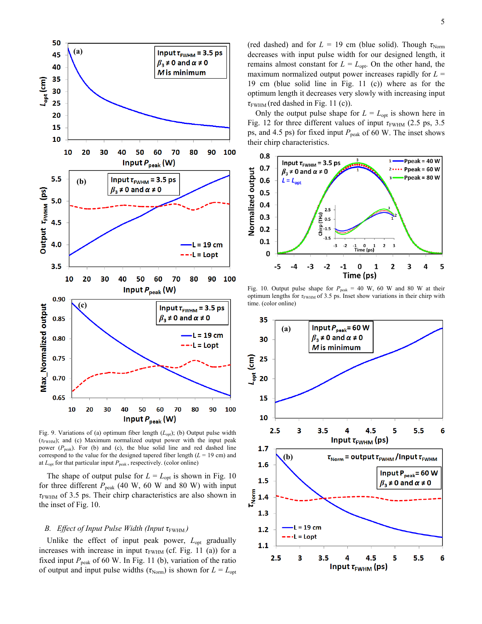

Fig. 9. Variations of (a) optimum fiber length ( $L_{opt}$ ); (b) Output pulse width (*τ*FWHM); and (c) Maximum normalized output power with the input peak power ( $P_{\text{peak}}$ ). For (b) and (c), the blue solid line and red dashed line correspond to the value for the designed tapered fiber length  $(L = 19 \text{ cm})$  and at  $L_{opt}$  for that particular input  $P_{peak}$ , respectively. (color online)

The shape of output pulse for  $L = L_{opt}$  is shown in Fig. 10 for three different  $P_{peak}$  (40 W, 60 W and 80 W) with input *τ*FWHM of 3.5 ps. Their chirp characteristics are also shown in the inset of Fig. 10.

## *B. Effect of Input Pulse Width (Input τ*<sub>FWHM</sub>)

Unlike the effect of input peak power,  $L_{opt}$  gradually increases with increase in input  $\tau_{FWHM}$  (cf. Fig. 11 (a)) for a fixed input  $P_{\text{peak}}$  of 60 W. In Fig. 11 (b), variation of the ratio of output and input pulse widths ( $\tau_{\text{Norm}}$ ) is shown for  $L = L_{\text{opt}}$  (red dashed) and for  $L = 19$  cm (blue solid). Though  $\tau_{\text{Norm}}$ decreases with input pulse width for our designed length, it remains almost constant for  $L = L_{opt}$ . On the other hand, the maximum normalized output power increases rapidly for *L* = 19 cm (blue solid line in Fig. 11 (c)) where as for the optimum length it decreases very slowly with increasing input  $\tau$ <sub>FWHM</sub> (red dashed in Fig. 11 (c)).

Only the output pulse shape for  $L = L_{\text{out}}$  is shown here in Fig. 12 for three different values of input  $τ$ <sub>FWHM</sub> (2.5 ps, 3.5) ps, and 4.5 ps) for fixed input *P*<sub>peak</sub> of 60 W. The inset shows their chirp characteristics.



Fig. 10. Output pulse shape for  $P_{\text{peak}} = 40 \text{ W}$ , 60 W and 80 W at their optimum lengths for *τ*<sub>FWHM</sub> of 3.5 ps. Inset show variations in their chirp with time. (color online)

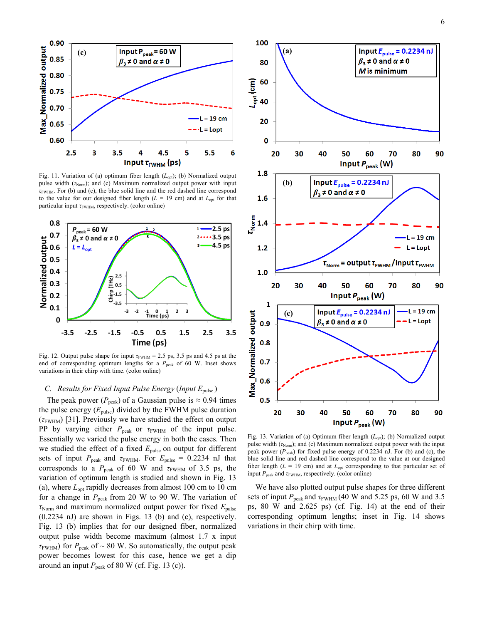

Fig. 11. Variation of (a) optimum fiber length ( $L_{opt}$ ); (b) Normalized output pulse width  $(\tau_{\text{Norm}})$ ; and (c) Maximum normalized output power with input *τ*FWHM. For (b) and (c), the blue solid line and the red dashed line correspond to the value for our designed fiber length  $(L = 19 \text{ cm})$  and at  $L_{\text{opt}}$  for that particular input *τ*<sub>FWHM</sub>, respectively. (color online)



Fig. 12. Output pulse shape for input  $\tau_{FWHM}$  = 2.5 ps, 3.5 ps and 4.5 ps at the end of corresponding optimum lengths for a *P*<sub>peak</sub> of 60 W. Inset shows variations in their chirp with time. (color online)

# *C. Results for Fixed Input Pulse Energy* (*Input E*pulse )

The peak power ( $P_{\text{peak}}$ ) of a Gaussian pulse is  $\approx 0.94$  times the pulse energy  $(E_{\text{pulse}})$  divided by the FWHM pulse duration  $(\tau_{\text{FWHM}})$  [31]. Previously we have studied the effect on output PP by varying either  $P_{\text{peak}}$  or  $\tau_{\text{FWHM}}$  of the input pulse. Essentially we varied the pulse energy in both the cases. Then we studied the effect of a fixed  $E_{\text{pulse}}$  on output for different sets of input  $P_{\text{peak}}$  and  $\tau_{\text{FWHM}}$ . For  $E_{\text{pulse}} = 0.2234$  nJ that corresponds to a  $P_{peak}$  of 60 W and  $\tau_{FWHM}$  of 3.5 ps, the variation of optimum length is studied and shown in Fig. 13 (a), where  $L_{opt}$  rapidly decreases from almost 100 cm to 10 cm for a change in  $P_{\text{peak}}$  from 20 W to 90 W. The variation of *τ*<sub>Norm</sub> and maximum normalized output power for fixed *E*<sub>pulse</sub> (0.2234 nJ) are shown in Figs. 13 (b) and (c), respectively. Fig. 13 (b) implies that for our designed fiber, normalized output pulse width become maximum (almost 1.7 x input  $\tau$ <sub>FWHM</sub>) for  $P_{\text{peak}}$  of ~ 80 W. So automatically, the output peak power becomes lowest for this case, hence we get a dip around an input  $P_{\text{peak}}$  of 80 W (cf. Fig. 13 (c)).



Fig. 13. Variation of (a) Optimum fiber length ( $L_{opt}$ ); (b) Normalized output pulse width (τ<sub>Norm</sub>); and (c) Maximum normalized output power with the input peak power ( $P_{\text{peak}}$ ) for fixed pulse energy of 0.2234 nJ. For (b) and (c), the blue solid line and red dashed line correspond to the value at our designed fiber length ( $L = 19$  cm) and at  $L_{opt}$  corresponding to that particular set of input  $P_{\text{peak}}$  and  $\tau_{\text{FWHM}}$ , respectively. (color online)

We have also plotted output pulse shapes for three different sets of input  $P_{\text{peak}}$  and  $\tau_{\text{FWHM}}$  (40 W and 5.25 ps, 60 W and 3.5 ps, 80 W and 2.625 ps) (cf. Fig. 14) at the end of their corresponding optimum lengths; inset in Fig. 14 shows variations in their chirp with time.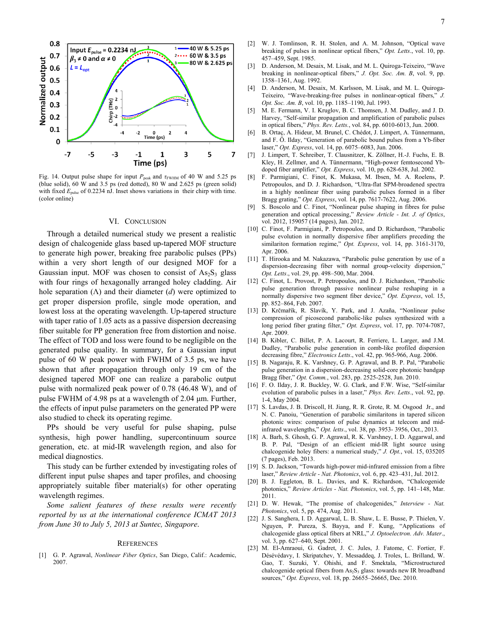

Fig. 14. Output pulse shape for input  $P_{\text{peak}}$  and  $\tau_{\text{FWHM}}$  of 40 W and 5.25 ps (blue solid), 60 W and 3.5 ps (red dotted), 80 W and 2.625 ps (green solid) with fixed  $E_{\text{pulse}}$  of 0.2234 nJ. Inset shows variations in their chirp with time. (color online)

## VI. CONCLUSION

Through a detailed numerical study we present a realistic design of chalcogenide glass based up-tapered MOF structure to generate high power, breaking free parabolic pulses (PPs) within a very short length of our designed MOF for a Gaussian input. MOF was chosen to consist of  $As_2S_3$  glass with four rings of hexagonally arranged holey cladding. Air hole separation (Λ) and their diameter (*d*) were optimized to get proper dispersion profile, single mode operation, and lowest loss at the operating wavelength. Up-tapered structure with taper ratio of 1.05 acts as a passive dispersion decreasing fiber suitable for PP generation free from distortion and noise. The effect of TOD and loss were found to be negligible on the generated pulse quality. In summary, for a Gaussian input pulse of 60 W peak power with FWHM of 3.5 ps, we have shown that after propagation through only 19 cm of the designed tapered MOF one can realize a parabolic output pulse with normalized peak power of 0.78 (46.48 W), and of pulse FWHM of 4.98 ps at a wavelength of 2.04 μm. Further, the effects of input pulse parameters on the generated PP were also studied to check its operating regime.

PPs should be very useful for pulse shaping, pulse synthesis, high power handling, supercontinuum source generation, etc. at mid-IR wavelength region, and also for medical diagnostics.

This study can be further extended by investigating roles of different input pulse shapes and taper profiles, and choosing appropriately suitable fiber material(s) for other operating wavelength regimes.

*Some salient features of these results were recently reported by us at the international conference ICMAT 2013 from June 30 to July 5, 2013 at Suntec, Singapore*.

#### **REFERENCES**

[1] G. P. Agrawal, *Nonlinear Fiber Optics*, San Diego, Calif.: Academic, 2007.

- [2] W. J. Tomlinson, R. H. Stolen, and A. M. Johnson, "Optical wave breaking of pulses in nonlinear optical fibers," *Opt. Letts*., vol. 10, pp. 457–459, Sept. 1985.
- [3] D. Anderson, M. Desaix, M. Lisak, and M. L. Quiroga-Teixeiro, "Wave breaking in nonlinear-optical fibers," *J. Opt. Soc. Am. B*, vol. 9, pp. 1358–1361, Aug. 1992.
- [4] D. Anderson, M. Desaix, M. Karlsson, M. Lisak, and M. L. Quiroga-Teixeiro, "Wave-breaking-free pulses in nonlinear-optical fibers," *J. Opt. Soc. Am. B*, vol. 10, pp. 1185–1190, Jul. 1993.
- [5] M. E. Fermann, V. I. Kruglov, B. C. Thomsen, J. M. Dudley, and J. D. Harvey, "Self-similar propagation and amplification of parabolic pulses in optical fibers," *Phys. Rev. Letts.*, vol. 84, pp. 6010-6013, Jun. 2000.
- [6] B. Ortaç, A. Hideur, M. Brunel, C. Chédot, J. Limpert, A. Tünnermann, and F. Ö. Ilday, "Generation of parabolic bound pulses from a Yb-fiber laser," *Opt. Express*, vol. 14, pp. 6075–6083, Jun. 2006.
- [7] J. Limpert, T. Schreiber, T. Clausnitzer, K. Zöllner, H.-J. Fuchs, E. B. Kley, H. Zellmer, and A. Tünnermann, "High-power femtosecond Ybdoped fiber amplifier," *Opt. Express*, vol. 10, pp. 628-638, Jul. 2002.
- [8] F. Parmigiani, C. Finot, K. Mukasa, M. Ibsen, M. A. Roelens, P. Petropoulos, and D. J. Richardson, "Ultra-flat SPM-broadened spectra in a highly nonlinear fiber using parabolic pulses formed in a fiber Bragg grating," *Opt. Express*, vol. 14, pp. 7617-7622, Aug. 2006.
- [9] S. Boscolo and C. Finot, "Nonlinear pulse shaping in fibres for pulse generation and optical processing," *Review Article - Int. J. of Optics*, vol. 2012, 159057 (14 pages), Jan. 2012.
- [10] C. Finot, F. Parmigiani, P. Petropoulos, and D. Richardson, "Parabolic pulse evolution in normally dispersive fiber amplifiers preceding the similariton formation regime," *Opt. Express*, vol. 14, pp. 3161-3170, Apr. 2006.
- [11] T. Hirooka and M. Nakazawa, "Parabolic pulse generation by use of a dispersion-decreasing fiber with normal group-velocity dispersion," *Opt. Letts*., vol. 29, pp. 498–500, Mar. 2004.
- [12] C. Finot, L. Provost, P. Petropoulos, and D. J. Richardson, "Parabolic pulse generation through passive nonlinear pulse reshaping in a normally dispersive two segment fiber device," *Opt. Express*, vol. 15, pp. 852–864, Feb. 2007.
- [13] D. Krčmařík, R. Slavík, Y. Park, and J. Azaña, "Nonlinear pulse compression of picosecond parabolic-like pulses synthesized with a long period fiber grating filter," *Opt. Express*, vol. 17, pp. 7074-7087, Apr. 2009.
- [14] B. Kibler, C. Billet, P. A. Lacourt, R. Ferriere, L. Larger, and J.M. Dudley, "Parabolic pulse generation in comb-like profiled dispersion decreasing fibre," *Electronics Letts*., vol. 42, pp. 965-966, Aug. 2006.
- [15] B. Nagaraju, R. K. Varshney, G. P. Agrawal, and B. P. Pal, "Parabolic pulse generation in a dispersion-decreasing solid-core photonic bandgap Bragg fiber," *Opt. Comm.*, vol. 283, pp. 2525-2528, Jun. 2010.
- [16] F. O. Ilday, J. R. Buckley, W. G. Clark, and F.W. Wise, "Self-similar evolution of parabolic pulses in a laser," *Phys. Rev. Letts*., vol. 92, pp. 1-4, May 2004.
- [17] S. Lavdas, J. B. Driscoll, H. Jiang, R. R. Grote, R. M. Osgood Jr., and N. C. Panoiu, "Generation of parabolic similaritons in tapered silicon photonic wires: comparison of pulse dynamics at telecom and midinfrared wavelengths," *Opt. letts*., vol. 38, pp. 3953- 3956, Oct., 2013.
- [18] A. Barh, S. Ghosh, G. P. Agrawal, R. K. Varshney, I. D. Aggarwal, and B. P. Pal, "Design of an efficient mid-IR light source using chalcogenide holey fibers: a numerical study," *J. Opt.*, vol. 15, 035205 (7 pages), Feb. 2013.
- [19] S. D. Jackson, "Towards high-power mid-infrared emission from a fibre laser," *Review Article - Nat. Photonics*, vol. 6, pp. 423–431, Jul. 2012.
- [20] B. J. Eggleton, B. L. Davies, and K. Richardson, "Chalcogenide photonics," *Review Articles - Nat. Photonics*, vol. 5, pp. 141–148, Mar. 2011.
- [21] D. W. Hewak, "The promise of chalcogenides," *Interview Nat. Photonics*, vol. 5, pp. 474, Aug. 2011.
- [22] J. S. Sanghera, I. D. Aggarwal, L. B. Shaw, L. E. Busse, P. Thielen, V. Nguyen, P. Pureza, S. Bayya, and F. Kung, "Applications of chalcogenide glass optical fibers at NRL," *J. Optoelectron. Adv. Mater*., vol. 3, pp. 627–640, Sept. 2001.
- [23] M. El-Amraoui, G. Gadret, J. C. Jules, J. Fatome, C. Fortier, F. Désévédavy, I. Skripatchev, Y. Messaddeq, J. Troles, L. Brilland, W. Gao, T. Suzuki, Y. Ohishi, and F. Smektala, "Microstructured chalcogenide optical fibers from  $As_2S_3$  glass: towards new IR broadband sources," *Opt. Express*, vol. 18, pp. 26655–26665, Dec. 2010.